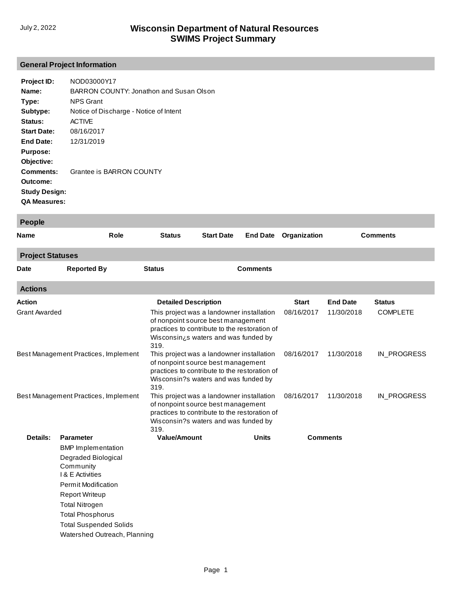# **General Project Information**

| Project ID:          | NOD03000Y17                             |
|----------------------|-----------------------------------------|
| Name:                | BARRON COUNTY: Jonathon and Susan Olson |
| Type:                | <b>NPS Grant</b>                        |
| Subtype:             | Notice of Discharge - Notice of Intent  |
| Status:              | <b>ACTIVE</b>                           |
| <b>Start Date:</b>   | 08/16/2017                              |
| End Date:            | 12/31/2019                              |
| <b>Purpose:</b>      |                                         |
| Objective:           |                                         |
| <b>Comments:</b>     | Grantee is BARRON COUNTY                |
| Outcome:             |                                         |
| <b>Study Design:</b> |                                         |
| <b>QA Measures:</b>  |                                         |
|                      |                                         |

| <b>People</b>                        |                               |                                                                                                                                                                                  |                   |                 |                 |                 |                 |
|--------------------------------------|-------------------------------|----------------------------------------------------------------------------------------------------------------------------------------------------------------------------------|-------------------|-----------------|-----------------|-----------------|-----------------|
| <b>Name</b>                          | Role                          | <b>Status</b>                                                                                                                                                                    | <b>Start Date</b> | <b>End Date</b> | Organization    |                 | <b>Comments</b> |
| <b>Project Statuses</b>              |                               |                                                                                                                                                                                  |                   |                 |                 |                 |                 |
| Date                                 | <b>Reported By</b>            | <b>Status</b>                                                                                                                                                                    |                   | <b>Comments</b> |                 |                 |                 |
| <b>Actions</b>                       |                               |                                                                                                                                                                                  |                   |                 |                 |                 |                 |
| <b>Action</b>                        |                               | <b>Detailed Description</b>                                                                                                                                                      |                   |                 | <b>Start</b>    | <b>End Date</b> | <b>Status</b>   |
| <b>Grant Awarded</b>                 |                               | This project was a landowner installation<br>of nonpoint source best management<br>practices to contribute to the restoration of<br>Wisconsin¿s waters and was funded by<br>319. |                   |                 | 08/16/2017      | 11/30/2018      | <b>COMPLETE</b> |
| Best Management Practices, Implement |                               | This project was a landowner installation<br>of nonpoint source best management<br>practices to contribute to the restoration of<br>Wisconsin?s waters and was funded by<br>319. |                   |                 | 08/16/2017      | 11/30/2018      | IN_PROGRESS     |
| Best Management Practices, Implement |                               | This project was a landowner installation<br>of nonpoint source best management<br>practices to contribute to the restoration of<br>Wisconsin?s waters and was funded by<br>319. |                   | 08/16/2017      | 11/30/2018      | IN_PROGRESS     |                 |
| <b>Details:</b>                      | <b>Parameter</b>              | <b>Value/Amount</b>                                                                                                                                                              |                   | <b>Units</b>    | <b>Comments</b> |                 |                 |
|                                      | <b>BMP</b> Implementation     |                                                                                                                                                                                  |                   |                 |                 |                 |                 |
|                                      | Degraded Biological           |                                                                                                                                                                                  |                   |                 |                 |                 |                 |
|                                      | Community<br>I & E Activities |                                                                                                                                                                                  |                   |                 |                 |                 |                 |
|                                      | <b>Permit Modification</b>    |                                                                                                                                                                                  |                   |                 |                 |                 |                 |
|                                      | <b>Report Writeup</b>         |                                                                                                                                                                                  |                   |                 |                 |                 |                 |
| <b>Total Nitrogen</b>                |                               |                                                                                                                                                                                  |                   |                 |                 |                 |                 |
|                                      | <b>Total Phosphorus</b>       |                                                                                                                                                                                  |                   |                 |                 |                 |                 |
|                                      | <b>Total Suspended Solids</b> |                                                                                                                                                                                  |                   |                 |                 |                 |                 |
|                                      | Watershed Outreach, Planning  |                                                                                                                                                                                  |                   |                 |                 |                 |                 |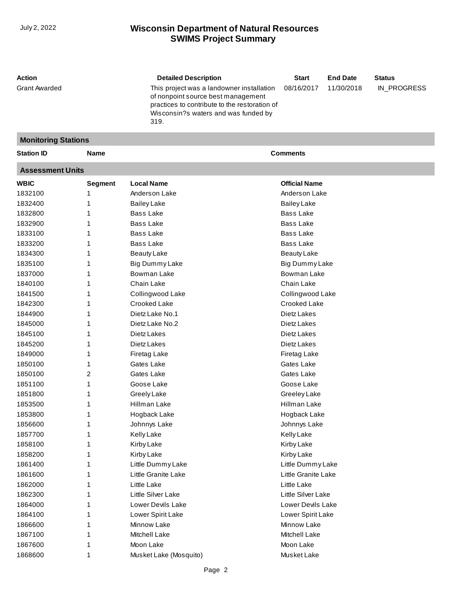| 08/16/2017<br>This project was a landowner installation<br>11/30/2018<br>IN_PROGRESS<br>of nonpoint source best management<br>practices to contribute to the restoration of<br>Wisconsin?s waters and was funded by<br>319.<br><b>Monitoring Stations</b><br><b>Comments</b><br><b>Name</b><br><b>Assessment Units</b><br><b>Local Name</b><br><b>Official Name</b><br><b>Segment</b><br>Anderson Lake<br>Anderson Lake<br><b>Bailey Lake</b><br>Bailey Lake<br><b>Bass Lake</b><br><b>Bass Lake</b><br><b>Bass Lake</b><br><b>Bass Lake</b><br><b>Bass Lake</b><br><b>Bass Lake</b><br>1<br><b>Bass Lake</b><br>1833200<br><b>Bass Lake</b><br><b>Beauty Lake</b><br><b>Beauty Lake</b><br>Big Dummy Lake<br>Big Dummy Lake<br>Bowman Lake<br>Bowman Lake<br>1<br>Chain Lake<br>Chain Lake<br>Collingwood Lake<br>Collingwood Lake<br>1<br>Crooked Lake<br>Crooked Lake<br>1842300<br>Dietz Lake No.1<br>Dietz Lakes<br>1844900<br>1<br>Dietz Lakes<br>Dietz Lake No.2<br>1845100<br>Dietz Lakes<br>Dietz Lakes<br>1845200<br>Dietz Lakes<br>Dietz Lakes<br>1849000<br>Firetag Lake<br>Firetag Lake<br>1<br>1850100<br>Gates Lake<br>Gates Lake<br>Gates Lake<br>1850100<br>2<br>Gates Lake<br>1851100<br>Goose Lake<br>Goose Lake<br>Greely Lake<br>Greeley Lake<br>1<br>1853500<br>Hillman Lake<br>Hillman Lake<br>1853800<br>1<br>Hogback Lake<br>Hogback Lake<br>1856600<br>Johnnys Lake<br>Johnnys Lake<br>1857700<br><b>Kelly Lake</b><br><b>Kelly Lake</b><br>1858100<br>Kirby Lake<br>Kirby Lake<br>1858200<br>Kirby Lake<br>Kirby Lake<br>Little Dummy Lake<br>1861400<br>Little Dummy Lake<br>Little Granite Lake<br>Little Granite Lake<br>1861600<br>Little Lake<br>1862000<br>Little Lake<br>1862300<br>Little Silver Lake<br>Little Silver Lake<br>1864000<br>Lower Devils Lake<br>Lower Devils Lake<br>1864100<br>Lower Spirit Lake<br>Lower Spirit Lake<br>1866600<br>Minnow Lake<br>Minnow Lake<br>1867100<br>Mitchell Lake<br>Mitchell Lake<br>Moon Lake<br>Moon Lake<br>1867600<br>Musket Lake (Mosquito)<br>Musket Lake<br>1 | Action               | <b>Detailed Description</b> | <b>Start</b> | <b>End Date</b> | <b>Status</b> |
|---------------------------------------------------------------------------------------------------------------------------------------------------------------------------------------------------------------------------------------------------------------------------------------------------------------------------------------------------------------------------------------------------------------------------------------------------------------------------------------------------------------------------------------------------------------------------------------------------------------------------------------------------------------------------------------------------------------------------------------------------------------------------------------------------------------------------------------------------------------------------------------------------------------------------------------------------------------------------------------------------------------------------------------------------------------------------------------------------------------------------------------------------------------------------------------------------------------------------------------------------------------------------------------------------------------------------------------------------------------------------------------------------------------------------------------------------------------------------------------------------------------------------------------------------------------------------------------------------------------------------------------------------------------------------------------------------------------------------------------------------------------------------------------------------------------------------------------------------------------------------------------------------------------------------------------------------------------------------------------------------------------------------------------------------|----------------------|-----------------------------|--------------|-----------------|---------------|
|                                                                                                                                                                                                                                                                                                                                                                                                                                                                                                                                                                                                                                                                                                                                                                                                                                                                                                                                                                                                                                                                                                                                                                                                                                                                                                                                                                                                                                                                                                                                                                                                                                                                                                                                                                                                                                                                                                                                                                                                                                                   | <b>Grant Awarded</b> |                             |              |                 |               |
|                                                                                                                                                                                                                                                                                                                                                                                                                                                                                                                                                                                                                                                                                                                                                                                                                                                                                                                                                                                                                                                                                                                                                                                                                                                                                                                                                                                                                                                                                                                                                                                                                                                                                                                                                                                                                                                                                                                                                                                                                                                   |                      |                             |              |                 |               |
|                                                                                                                                                                                                                                                                                                                                                                                                                                                                                                                                                                                                                                                                                                                                                                                                                                                                                                                                                                                                                                                                                                                                                                                                                                                                                                                                                                                                                                                                                                                                                                                                                                                                                                                                                                                                                                                                                                                                                                                                                                                   | <b>Station ID</b>    |                             |              |                 |               |
|                                                                                                                                                                                                                                                                                                                                                                                                                                                                                                                                                                                                                                                                                                                                                                                                                                                                                                                                                                                                                                                                                                                                                                                                                                                                                                                                                                                                                                                                                                                                                                                                                                                                                                                                                                                                                                                                                                                                                                                                                                                   |                      |                             |              |                 |               |
|                                                                                                                                                                                                                                                                                                                                                                                                                                                                                                                                                                                                                                                                                                                                                                                                                                                                                                                                                                                                                                                                                                                                                                                                                                                                                                                                                                                                                                                                                                                                                                                                                                                                                                                                                                                                                                                                                                                                                                                                                                                   | <b>WBIC</b>          |                             |              |                 |               |
|                                                                                                                                                                                                                                                                                                                                                                                                                                                                                                                                                                                                                                                                                                                                                                                                                                                                                                                                                                                                                                                                                                                                                                                                                                                                                                                                                                                                                                                                                                                                                                                                                                                                                                                                                                                                                                                                                                                                                                                                                                                   | 1832100              |                             |              |                 |               |
|                                                                                                                                                                                                                                                                                                                                                                                                                                                                                                                                                                                                                                                                                                                                                                                                                                                                                                                                                                                                                                                                                                                                                                                                                                                                                                                                                                                                                                                                                                                                                                                                                                                                                                                                                                                                                                                                                                                                                                                                                                                   | 1832400              |                             |              |                 |               |
|                                                                                                                                                                                                                                                                                                                                                                                                                                                                                                                                                                                                                                                                                                                                                                                                                                                                                                                                                                                                                                                                                                                                                                                                                                                                                                                                                                                                                                                                                                                                                                                                                                                                                                                                                                                                                                                                                                                                                                                                                                                   | 1832800              |                             |              |                 |               |
|                                                                                                                                                                                                                                                                                                                                                                                                                                                                                                                                                                                                                                                                                                                                                                                                                                                                                                                                                                                                                                                                                                                                                                                                                                                                                                                                                                                                                                                                                                                                                                                                                                                                                                                                                                                                                                                                                                                                                                                                                                                   | 1832900              |                             |              |                 |               |
|                                                                                                                                                                                                                                                                                                                                                                                                                                                                                                                                                                                                                                                                                                                                                                                                                                                                                                                                                                                                                                                                                                                                                                                                                                                                                                                                                                                                                                                                                                                                                                                                                                                                                                                                                                                                                                                                                                                                                                                                                                                   | 1833100              |                             |              |                 |               |
|                                                                                                                                                                                                                                                                                                                                                                                                                                                                                                                                                                                                                                                                                                                                                                                                                                                                                                                                                                                                                                                                                                                                                                                                                                                                                                                                                                                                                                                                                                                                                                                                                                                                                                                                                                                                                                                                                                                                                                                                                                                   |                      |                             |              |                 |               |
|                                                                                                                                                                                                                                                                                                                                                                                                                                                                                                                                                                                                                                                                                                                                                                                                                                                                                                                                                                                                                                                                                                                                                                                                                                                                                                                                                                                                                                                                                                                                                                                                                                                                                                                                                                                                                                                                                                                                                                                                                                                   | 1834300              |                             |              |                 |               |
|                                                                                                                                                                                                                                                                                                                                                                                                                                                                                                                                                                                                                                                                                                                                                                                                                                                                                                                                                                                                                                                                                                                                                                                                                                                                                                                                                                                                                                                                                                                                                                                                                                                                                                                                                                                                                                                                                                                                                                                                                                                   | 1835100              |                             |              |                 |               |
|                                                                                                                                                                                                                                                                                                                                                                                                                                                                                                                                                                                                                                                                                                                                                                                                                                                                                                                                                                                                                                                                                                                                                                                                                                                                                                                                                                                                                                                                                                                                                                                                                                                                                                                                                                                                                                                                                                                                                                                                                                                   | 1837000              |                             |              |                 |               |
|                                                                                                                                                                                                                                                                                                                                                                                                                                                                                                                                                                                                                                                                                                                                                                                                                                                                                                                                                                                                                                                                                                                                                                                                                                                                                                                                                                                                                                                                                                                                                                                                                                                                                                                                                                                                                                                                                                                                                                                                                                                   | 1840100              |                             |              |                 |               |
|                                                                                                                                                                                                                                                                                                                                                                                                                                                                                                                                                                                                                                                                                                                                                                                                                                                                                                                                                                                                                                                                                                                                                                                                                                                                                                                                                                                                                                                                                                                                                                                                                                                                                                                                                                                                                                                                                                                                                                                                                                                   | 1841500              |                             |              |                 |               |
|                                                                                                                                                                                                                                                                                                                                                                                                                                                                                                                                                                                                                                                                                                                                                                                                                                                                                                                                                                                                                                                                                                                                                                                                                                                                                                                                                                                                                                                                                                                                                                                                                                                                                                                                                                                                                                                                                                                                                                                                                                                   |                      |                             |              |                 |               |
|                                                                                                                                                                                                                                                                                                                                                                                                                                                                                                                                                                                                                                                                                                                                                                                                                                                                                                                                                                                                                                                                                                                                                                                                                                                                                                                                                                                                                                                                                                                                                                                                                                                                                                                                                                                                                                                                                                                                                                                                                                                   |                      |                             |              |                 |               |
|                                                                                                                                                                                                                                                                                                                                                                                                                                                                                                                                                                                                                                                                                                                                                                                                                                                                                                                                                                                                                                                                                                                                                                                                                                                                                                                                                                                                                                                                                                                                                                                                                                                                                                                                                                                                                                                                                                                                                                                                                                                   | 1845000              |                             |              |                 |               |
|                                                                                                                                                                                                                                                                                                                                                                                                                                                                                                                                                                                                                                                                                                                                                                                                                                                                                                                                                                                                                                                                                                                                                                                                                                                                                                                                                                                                                                                                                                                                                                                                                                                                                                                                                                                                                                                                                                                                                                                                                                                   |                      |                             |              |                 |               |
|                                                                                                                                                                                                                                                                                                                                                                                                                                                                                                                                                                                                                                                                                                                                                                                                                                                                                                                                                                                                                                                                                                                                                                                                                                                                                                                                                                                                                                                                                                                                                                                                                                                                                                                                                                                                                                                                                                                                                                                                                                                   |                      |                             |              |                 |               |
|                                                                                                                                                                                                                                                                                                                                                                                                                                                                                                                                                                                                                                                                                                                                                                                                                                                                                                                                                                                                                                                                                                                                                                                                                                                                                                                                                                                                                                                                                                                                                                                                                                                                                                                                                                                                                                                                                                                                                                                                                                                   |                      |                             |              |                 |               |
|                                                                                                                                                                                                                                                                                                                                                                                                                                                                                                                                                                                                                                                                                                                                                                                                                                                                                                                                                                                                                                                                                                                                                                                                                                                                                                                                                                                                                                                                                                                                                                                                                                                                                                                                                                                                                                                                                                                                                                                                                                                   |                      |                             |              |                 |               |
|                                                                                                                                                                                                                                                                                                                                                                                                                                                                                                                                                                                                                                                                                                                                                                                                                                                                                                                                                                                                                                                                                                                                                                                                                                                                                                                                                                                                                                                                                                                                                                                                                                                                                                                                                                                                                                                                                                                                                                                                                                                   |                      |                             |              |                 |               |
|                                                                                                                                                                                                                                                                                                                                                                                                                                                                                                                                                                                                                                                                                                                                                                                                                                                                                                                                                                                                                                                                                                                                                                                                                                                                                                                                                                                                                                                                                                                                                                                                                                                                                                                                                                                                                                                                                                                                                                                                                                                   |                      |                             |              |                 |               |
|                                                                                                                                                                                                                                                                                                                                                                                                                                                                                                                                                                                                                                                                                                                                                                                                                                                                                                                                                                                                                                                                                                                                                                                                                                                                                                                                                                                                                                                                                                                                                                                                                                                                                                                                                                                                                                                                                                                                                                                                                                                   | 1851800              |                             |              |                 |               |
|                                                                                                                                                                                                                                                                                                                                                                                                                                                                                                                                                                                                                                                                                                                                                                                                                                                                                                                                                                                                                                                                                                                                                                                                                                                                                                                                                                                                                                                                                                                                                                                                                                                                                                                                                                                                                                                                                                                                                                                                                                                   |                      |                             |              |                 |               |
|                                                                                                                                                                                                                                                                                                                                                                                                                                                                                                                                                                                                                                                                                                                                                                                                                                                                                                                                                                                                                                                                                                                                                                                                                                                                                                                                                                                                                                                                                                                                                                                                                                                                                                                                                                                                                                                                                                                                                                                                                                                   |                      |                             |              |                 |               |
|                                                                                                                                                                                                                                                                                                                                                                                                                                                                                                                                                                                                                                                                                                                                                                                                                                                                                                                                                                                                                                                                                                                                                                                                                                                                                                                                                                                                                                                                                                                                                                                                                                                                                                                                                                                                                                                                                                                                                                                                                                                   |                      |                             |              |                 |               |
|                                                                                                                                                                                                                                                                                                                                                                                                                                                                                                                                                                                                                                                                                                                                                                                                                                                                                                                                                                                                                                                                                                                                                                                                                                                                                                                                                                                                                                                                                                                                                                                                                                                                                                                                                                                                                                                                                                                                                                                                                                                   |                      |                             |              |                 |               |
|                                                                                                                                                                                                                                                                                                                                                                                                                                                                                                                                                                                                                                                                                                                                                                                                                                                                                                                                                                                                                                                                                                                                                                                                                                                                                                                                                                                                                                                                                                                                                                                                                                                                                                                                                                                                                                                                                                                                                                                                                                                   |                      |                             |              |                 |               |
|                                                                                                                                                                                                                                                                                                                                                                                                                                                                                                                                                                                                                                                                                                                                                                                                                                                                                                                                                                                                                                                                                                                                                                                                                                                                                                                                                                                                                                                                                                                                                                                                                                                                                                                                                                                                                                                                                                                                                                                                                                                   |                      |                             |              |                 |               |
|                                                                                                                                                                                                                                                                                                                                                                                                                                                                                                                                                                                                                                                                                                                                                                                                                                                                                                                                                                                                                                                                                                                                                                                                                                                                                                                                                                                                                                                                                                                                                                                                                                                                                                                                                                                                                                                                                                                                                                                                                                                   |                      |                             |              |                 |               |
|                                                                                                                                                                                                                                                                                                                                                                                                                                                                                                                                                                                                                                                                                                                                                                                                                                                                                                                                                                                                                                                                                                                                                                                                                                                                                                                                                                                                                                                                                                                                                                                                                                                                                                                                                                                                                                                                                                                                                                                                                                                   |                      |                             |              |                 |               |
|                                                                                                                                                                                                                                                                                                                                                                                                                                                                                                                                                                                                                                                                                                                                                                                                                                                                                                                                                                                                                                                                                                                                                                                                                                                                                                                                                                                                                                                                                                                                                                                                                                                                                                                                                                                                                                                                                                                                                                                                                                                   |                      |                             |              |                 |               |
|                                                                                                                                                                                                                                                                                                                                                                                                                                                                                                                                                                                                                                                                                                                                                                                                                                                                                                                                                                                                                                                                                                                                                                                                                                                                                                                                                                                                                                                                                                                                                                                                                                                                                                                                                                                                                                                                                                                                                                                                                                                   |                      |                             |              |                 |               |
|                                                                                                                                                                                                                                                                                                                                                                                                                                                                                                                                                                                                                                                                                                                                                                                                                                                                                                                                                                                                                                                                                                                                                                                                                                                                                                                                                                                                                                                                                                                                                                                                                                                                                                                                                                                                                                                                                                                                                                                                                                                   |                      |                             |              |                 |               |
|                                                                                                                                                                                                                                                                                                                                                                                                                                                                                                                                                                                                                                                                                                                                                                                                                                                                                                                                                                                                                                                                                                                                                                                                                                                                                                                                                                                                                                                                                                                                                                                                                                                                                                                                                                                                                                                                                                                                                                                                                                                   |                      |                             |              |                 |               |
|                                                                                                                                                                                                                                                                                                                                                                                                                                                                                                                                                                                                                                                                                                                                                                                                                                                                                                                                                                                                                                                                                                                                                                                                                                                                                                                                                                                                                                                                                                                                                                                                                                                                                                                                                                                                                                                                                                                                                                                                                                                   |                      |                             |              |                 |               |
|                                                                                                                                                                                                                                                                                                                                                                                                                                                                                                                                                                                                                                                                                                                                                                                                                                                                                                                                                                                                                                                                                                                                                                                                                                                                                                                                                                                                                                                                                                                                                                                                                                                                                                                                                                                                                                                                                                                                                                                                                                                   |                      |                             |              |                 |               |
|                                                                                                                                                                                                                                                                                                                                                                                                                                                                                                                                                                                                                                                                                                                                                                                                                                                                                                                                                                                                                                                                                                                                                                                                                                                                                                                                                                                                                                                                                                                                                                                                                                                                                                                                                                                                                                                                                                                                                                                                                                                   |                      |                             |              |                 |               |
|                                                                                                                                                                                                                                                                                                                                                                                                                                                                                                                                                                                                                                                                                                                                                                                                                                                                                                                                                                                                                                                                                                                                                                                                                                                                                                                                                                                                                                                                                                                                                                                                                                                                                                                                                                                                                                                                                                                                                                                                                                                   | 1868600              |                             |              |                 |               |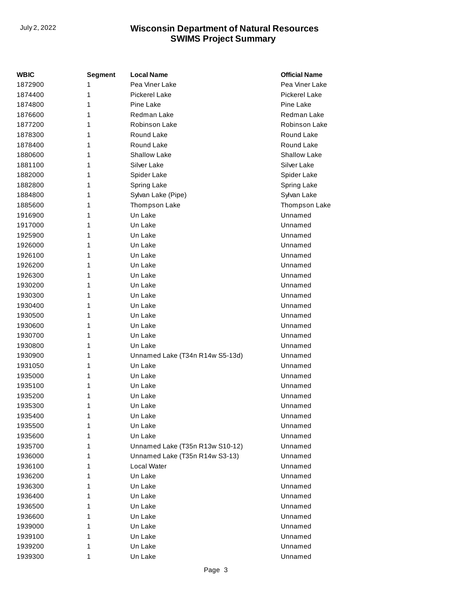| WBIC    | <b>Segment</b> | <b>Local Name</b>               | <b>Official Name</b> |
|---------|----------------|---------------------------------|----------------------|
| 1872900 | 1              | Pea Viner Lake                  | Pea Viner Lake       |
| 1874400 | 1              | <b>Pickerel Lake</b>            | <b>Pickerel Lake</b> |
| 1874800 | 1              | Pine Lake                       | Pine Lake            |
| 1876600 | 1              | Redman Lake                     | Redman Lake          |
| 1877200 | 1              | Robinson Lake                   | Robinson Lake        |
| 1878300 | 1              | Round Lake                      | Round Lake           |
| 1878400 | 1              | Round Lake                      | Round Lake           |
| 1880600 | 1              | <b>Shallow Lake</b>             | Shallow Lake         |
| 1881100 | 1              | Silver Lake                     | Silver Lake          |
| 1882000 | 1              | Spider Lake                     | Spider Lake          |
| 1882800 | 1              | Spring Lake                     | Spring Lake          |
| 1884800 | 1              | Sylvan Lake (Pipe)              | Sylvan Lake          |
| 1885600 | 1              | Thompson Lake                   | Thompson Lake        |
| 1916900 | 1              | Un Lake                         | Unnamed              |
| 1917000 | 1              | Un Lake                         | Unnamed              |
| 1925900 | 1              | Un Lake                         | Unnamed              |
| 1926000 | 1              | Un Lake                         | Unnamed              |
| 1926100 | 1              | Un Lake                         | Unnamed              |
| 1926200 | 1              | Un Lake                         | Unnamed              |
| 1926300 | 1              | Un Lake                         | Unnamed              |
| 1930200 | 1              | Un Lake                         | Unnamed              |
| 1930300 | 1              | Un Lake                         | Unnamed              |
| 1930400 | 1              | Un Lake                         | Unnamed              |
| 1930500 | 1              | Un Lake                         | Unnamed              |
| 1930600 | 1              | Un Lake                         | Unnamed              |
| 1930700 | 1              | Un Lake                         | Unnamed              |
| 1930800 | 1              | Un Lake                         | Unnamed              |
| 1930900 | 1              | Unnamed Lake (T34n R14w S5-13d) | Unnamed              |
| 1931050 | 1              | Un Lake                         | Unnamed              |
| 1935000 | 1              | Un Lake                         | Unnamed              |
| 1935100 | 1              | Un Lake                         | Unnamed              |
| 1935200 | 1              | Un Lake                         | Unnamed              |
| 1935300 | 1              | Un Lake                         | Unnamed              |
| 1935400 | 1              | Un Lake                         | Unnamed              |
| 1935500 | 1              | Un Lake                         | Unnamed              |
| 1935600 | 1              | Un Lake                         | Unnamed              |
| 1935700 | 1              | Unnamed Lake (T35n R13w S10-12) | Unnamed              |
| 1936000 | 1              | Unnamed Lake (T35n R14w S3-13)  | Unnamed              |
| 1936100 | 1              | Local Water                     | Unnamed              |
| 1936200 | 1              | Un Lake                         | Unnamed              |
| 1936300 | 1              | Un Lake                         | Unnamed              |
| 1936400 | 1              | Un Lake                         | Unnamed              |
| 1936500 | 1              | Un Lake                         | Unnamed              |
| 1936600 | 1              | Un Lake                         | Unnamed              |
| 1939000 | 1              | Un Lake                         | Unnamed              |
| 1939100 | 1              | Un Lake                         | Unnamed              |
| 1939200 | 1              | Un Lake                         | Unnamed              |
| 1939300 | 1              | Un Lake                         | Unnamed              |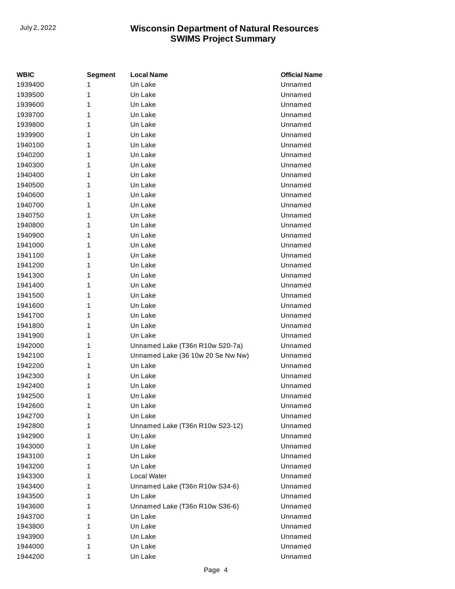| WBIC    | <b>Segment</b> | <b>Local Name</b>                 | <b>Official Name</b> |
|---------|----------------|-----------------------------------|----------------------|
| 1939400 | 1              | Un Lake                           | Unnamed              |
| 1939500 | 1              | Un Lake                           | Unnamed              |
| 1939600 | 1              | Un Lake                           | Unnamed              |
| 1939700 | 1              | Un Lake                           | Unnamed              |
| 1939800 | 1              | Un Lake                           | Unnamed              |
| 1939900 | 1              | Un Lake                           | Unnamed              |
| 1940100 | 1              | Un Lake                           | Unnamed              |
| 1940200 | 1              | Un Lake                           | Unnamed              |
| 1940300 | 1              | Un Lake                           | Unnamed              |
| 1940400 | 1              | Un Lake                           | Unnamed              |
| 1940500 | 1              | Un Lake                           | Unnamed              |
| 1940600 | 1              | Un Lake                           | Unnamed              |
| 1940700 | 1              | Un Lake                           | Unnamed              |
| 1940750 | 1              | Un Lake                           | Unnamed              |
| 1940800 | 1              | Un Lake                           | Unnamed              |
| 1940900 | 1              | Un Lake                           | Unnamed              |
| 1941000 | 1              | Un Lake                           | Unnamed              |
| 1941100 | 1              | Un Lake                           | Unnamed              |
| 1941200 | 1              | Un Lake                           | Unnamed              |
| 1941300 | 1              | Un Lake                           | Unnamed              |
| 1941400 | 1              | Un Lake                           | Unnamed              |
| 1941500 | 1              | Un Lake                           | Unnamed              |
| 1941600 | 1              | Un Lake                           | Unnamed              |
| 1941700 | 1              | Un Lake                           | Unnamed              |
| 1941800 | 1              | Un Lake                           | Unnamed              |
| 1941900 | 1              | Un Lake                           | Unnamed              |
| 1942000 | 1              | Unnamed Lake (T36n R10w S20-7a)   | Unnamed              |
| 1942100 | 1              | Unnamed Lake (36 10w 20 Se Nw Nw) | Unnamed              |
| 1942200 | 1              | Un Lake                           | Unnamed              |
| 1942300 | 1              | Un Lake                           | Unnamed              |
| 1942400 | 1              | Un Lake                           | Unnamed              |
| 1942500 | 1              | Un Lake                           | Unnamed              |
| 1942600 | 1              | Un Lake                           | Unnamed              |
| 1942700 | 1              | Un Lake                           | Unnamed              |
| 1942800 | 1              | Unnamed Lake (T36n R10w S23-12)   | Unnamed              |
| 1942900 | 1              | Un Lake                           | Unnamed              |
| 1943000 | 1              | Un Lake                           | Unnamed              |
| 1943100 | 1              | Un Lake                           | Unnamed              |
| 1943200 | 1              | Un Lake                           | Unnamed              |
| 1943300 | 1              | Local Water                       | Unnamed              |
| 1943400 | 1              | Unnamed Lake (T36n R10w S34-6)    | Unnamed              |
| 1943500 | 1              | Un Lake                           | Unnamed              |
| 1943600 | 1              | Unnamed Lake (T36n R10w S36-6)    | Unnamed              |
| 1943700 | 1              | Un Lake                           | Unnamed              |
| 1943800 | 1              | Un Lake                           | Unnamed              |
| 1943900 | 1              | Un Lake                           | Unnamed              |
| 1944000 | 1              | Un Lake                           | Unnamed              |
| 1944200 | 1              | Un Lake                           | Unnamed              |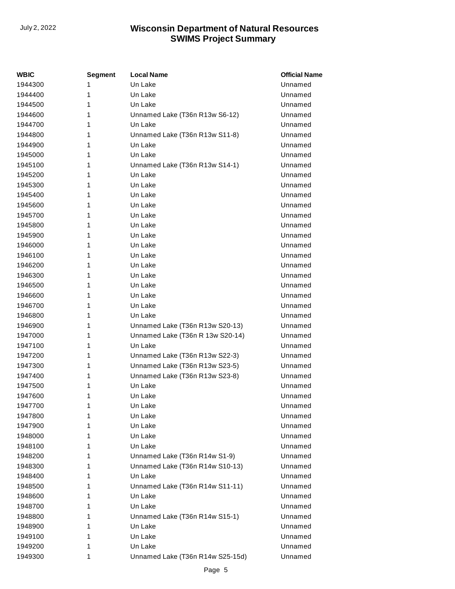| WBIC    | <b>Segment</b> | <b>Local Name</b>                | <b>Official Name</b> |
|---------|----------------|----------------------------------|----------------------|
| 1944300 | 1              | Un Lake                          | Unnamed              |
| 1944400 | 1              | Un Lake                          | Unnamed              |
| 1944500 | 1              | Un Lake                          | Unnamed              |
| 1944600 | 1              | Unnamed Lake (T36n R13w S6-12)   | Unnamed              |
| 1944700 | 1              | Un Lake                          | Unnamed              |
| 1944800 | 1              | Unnamed Lake (T36n R13w S11-8)   | Unnamed              |
| 1944900 | 1              | Un Lake                          | Unnamed              |
| 1945000 | 1              | Un Lake                          | Unnamed              |
| 1945100 | 1              | Unnamed Lake (T36n R13w S14-1)   | Unnamed              |
| 1945200 | 1              | Un Lake                          | Unnamed              |
| 1945300 | 1              | Un Lake                          | Unnamed              |
| 1945400 | 1              | Un Lake                          | Unnamed              |
| 1945600 | 1              | Un Lake                          | Unnamed              |
| 1945700 | 1              | Un Lake                          | Unnamed              |
| 1945800 | 1              | Un Lake                          | Unnamed              |
| 1945900 | 1              | Un Lake                          | Unnamed              |
| 1946000 | 1              | Un Lake                          | Unnamed              |
| 1946100 | 1              | Un Lake                          | Unnamed              |
| 1946200 | 1              | Un Lake                          | Unnamed              |
| 1946300 | 1              | Un Lake                          | Unnamed              |
| 1946500 | 1              | Un Lake                          | Unnamed              |
| 1946600 | 1              | Un Lake                          | Unnamed              |
| 1946700 | 1              | Un Lake                          | Unnamed              |
| 1946800 | 1              | Un Lake                          | Unnamed              |
| 1946900 | 1              | Unnamed Lake (T36n R13w S20-13)  | Unnamed              |
| 1947000 | 1              | Unnamed Lake (T36n R 13w S20-14) | Unnamed              |
| 1947100 | 1              | Un Lake                          | Unnamed              |
| 1947200 | 1              | Unnamed Lake (T36n R13w S22-3)   | Unnamed              |
| 1947300 | 1              | Unnamed Lake (T36n R13w S23-5)   | Unnamed              |
| 1947400 | 1              | Unnamed Lake (T36n R13w S23-8)   | Unnamed              |
| 1947500 | 1              | Un Lake                          | Unnamed              |
| 1947600 | 1              | Un Lake                          | Unnamed              |
| 1947700 | 1              | Un Lake                          | Unnamed              |
| 1947800 | 1              | Un Lake                          | Unnamed              |
| 1947900 | 1              | Un Lake                          | Unnamed              |
| 1948000 | 1              | Un Lake                          | Unnamed              |
| 1948100 | 1              | Un Lake                          | Unnamed              |
| 1948200 | 1              | Unnamed Lake (T36n R14w S1-9)    | Unnamed              |
| 1948300 | 1              | Unnamed Lake (T36n R14w S10-13)  | Unnamed              |
| 1948400 | 1              | Un Lake                          | Unnamed              |
| 1948500 | 1              | Unnamed Lake (T36n R14w S11-11)  | Unnamed              |
| 1948600 | 1              | Un Lake                          | Unnamed              |
| 1948700 | 1              | Un Lake                          | Unnamed              |
| 1948800 | 1              | Unnamed Lake (T36n R14w S15-1)   | Unnamed              |
| 1948900 | 1              | Un Lake                          | Unnamed              |
| 1949100 | 1              | Un Lake                          | Unnamed              |
| 1949200 | 1              | Un Lake                          | Unnamed              |
| 1949300 | 1              | Unnamed Lake (T36n R14w S25-15d) | Unnamed              |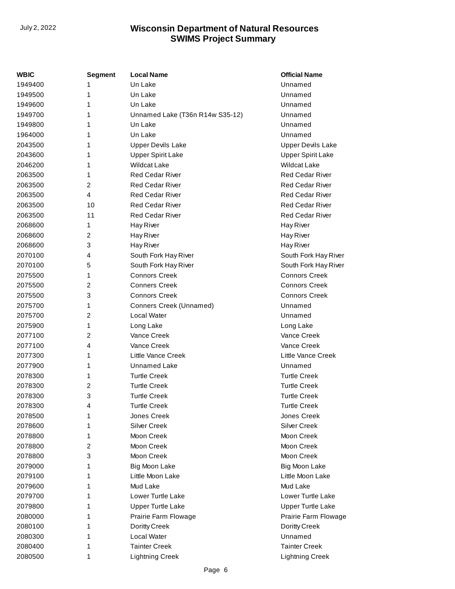| <b>WBIC</b> | <b>Segment</b> | <b>Local Name</b>               | <b>Official Name</b>     |
|-------------|----------------|---------------------------------|--------------------------|
| 1949400     | 1              | Un Lake                         | Unnamed                  |
| 1949500     | 1              | Un Lake                         | Unnamed                  |
| 1949600     | 1              | Un Lake                         | Unnamed                  |
| 1949700     | 1              | Unnamed Lake (T36n R14w S35-12) | Unnamed                  |
| 1949800     | 1              | Un Lake                         | Unnamed                  |
| 1964000     | 1              | Un Lake                         | Unnamed                  |
| 2043500     | 1              | <b>Upper Devils Lake</b>        | <b>Upper Devils Lake</b> |
| 2043600     | 1              | <b>Upper Spirit Lake</b>        | <b>Upper Spirit Lake</b> |
| 2046200     | 1              | <b>Wildcat Lake</b>             | <b>Wildcat Lake</b>      |
| 2063500     | 1              | <b>Red Cedar River</b>          | <b>Red Cedar River</b>   |
| 2063500     | 2              | <b>Red Cedar River</b>          | <b>Red Cedar River</b>   |
| 2063500     | $\overline{4}$ | <b>Red Cedar River</b>          | <b>Red Cedar River</b>   |
| 2063500     | 10             | <b>Red Cedar River</b>          | <b>Red Cedar River</b>   |
| 2063500     | 11             | <b>Red Cedar River</b>          | <b>Red Cedar River</b>   |
| 2068600     | 1              | Hay River                       | Hay River                |
| 2068600     | 2              | Hay River                       | Hay River                |
| 2068600     | 3              | Hay River                       | Hay River                |
| 2070100     | 4              | South Fork Hay River            | South Fork Hay River     |
| 2070100     | 5              | South Fork Hay River            | South Fork Hay River     |
| 2075500     | 1              | <b>Connors Creek</b>            | <b>Connors Creek</b>     |
| 2075500     | 2              | <b>Conners Creek</b>            | <b>Connors Creek</b>     |
| 2075500     | 3              | <b>Connors Creek</b>            | <b>Connors Creek</b>     |
| 2075700     | 1              | Conners Creek (Unnamed)         | Unnamed                  |
| 2075700     | $\overline{2}$ | Local Water                     | Unnamed                  |
| 2075900     | 1              | Long Lake                       | Long Lake                |
| 2077100     | $\overline{c}$ | Vance Creek                     | Vance Creek              |
| 2077100     | 4              | Vance Creek                     | Vance Creek              |
| 2077300     | 1              | Little Vance Creek              | Little Vance Creek       |
| 2077900     | 1              | <b>Unnamed Lake</b>             | Unnamed                  |
| 2078300     | 1              | <b>Turtle Creek</b>             | <b>Turtle Creek</b>      |
| 2078300     | 2              | <b>Turtle Creek</b>             | <b>Turtle Creek</b>      |
| 2078300     | 3              | <b>Turtle Creek</b>             | <b>Turtle Creek</b>      |
| 2078300     | 4              | Turtle Creek                    | <b>Turtle Creek</b>      |
| 2078500     | 1              | Jones Creek                     | Jones Creek              |
| 2078600     | 1              | <b>Silver Creek</b>             | <b>Silver Creek</b>      |
| 2078800     | 1              | Moon Creek                      | Moon Creek               |
| 2078800     | 2              | Moon Creek                      | Moon Creek               |
| 2078800     | 3              | Moon Creek                      | Moon Creek               |
| 2079000     | 1              | Big Moon Lake                   | Big Moon Lake            |
| 2079100     | 1              | Little Moon Lake                | Little Moon Lake         |
| 2079600     | 1              | Mud Lake                        | Mud Lake                 |
| 2079700     | 1              | Lower Turtle Lake               | Lower Turtle Lake        |
| 2079800     | 1              | <b>Upper Turtle Lake</b>        | <b>Upper Turtle Lake</b> |
| 2080000     | 1              | Prairie Farm Flowage            | Prairie Farm Flowage     |
| 2080100     | 1              | Doritty Creek                   | Doritty Creek            |
| 2080300     | 1              | Local Water                     | Unnamed                  |
| 2080400     | 1              | <b>Tainter Creek</b>            | <b>Tainter Creek</b>     |
| 2080500     | 1              | <b>Lightning Creek</b>          | <b>Lightning Creek</b>   |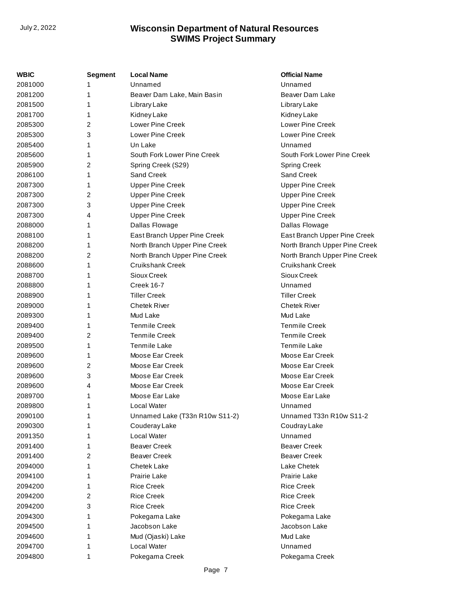| WBIC    | Segment | <b>Local Name</b>              | <b>Official Name</b>          |
|---------|---------|--------------------------------|-------------------------------|
| 2081000 | 1       | Unnamed                        | Unnamed                       |
| 2081200 | 1       | Beaver Dam Lake, Main Basin    | Beaver Dam Lake               |
| 2081500 | 1       | Library Lake                   | Library Lake                  |
| 2081700 | 1       | Kidney Lake                    | Kidney Lake                   |
| 2085300 | 2       | <b>Lower Pine Creek</b>        | <b>Lower Pine Creek</b>       |
| 2085300 | 3       | Lower Pine Creek               | <b>Lower Pine Creek</b>       |
| 2085400 | 1       | Un Lake                        | Unnamed                       |
| 2085600 | 1       | South Fork Lower Pine Creek    | South Fork Lower Pine Creek   |
| 2085900 | 2       | Spring Creek (S29)             | <b>Spring Creek</b>           |
| 2086100 | 1       | Sand Creek                     | Sand Creek                    |
| 2087300 | 1       | <b>Upper Pine Creek</b>        | <b>Upper Pine Creek</b>       |
| 2087300 | 2       | <b>Upper Pine Creek</b>        | <b>Upper Pine Creek</b>       |
| 2087300 | 3       | <b>Upper Pine Creek</b>        | <b>Upper Pine Creek</b>       |
| 2087300 | 4       | <b>Upper Pine Creek</b>        | <b>Upper Pine Creek</b>       |
| 2088000 | 1       | Dallas Flowage                 | Dallas Flowage                |
| 2088100 | 1       | East Branch Upper Pine Creek   | East Branch Upper Pine Creek  |
| 2088200 | 1       | North Branch Upper Pine Creek  | North Branch Upper Pine Creek |
| 2088200 | 2       | North Branch Upper Pine Creek  | North Branch Upper Pine Creek |
| 2088600 | 1       | <b>Cruikshank Creek</b>        | <b>Cruikshank Creek</b>       |
| 2088700 | 1       | Sioux Creek                    | Sioux Creek                   |
| 2088800 | 1       | Creek 16-7                     | Unnamed                       |
| 2088900 | 1       | <b>Tiller Creek</b>            | <b>Tiller Creek</b>           |
| 2089000 | 1       | <b>Chetek River</b>            | <b>Chetek River</b>           |
| 2089300 | 1       | Mud Lake                       | Mud Lake                      |
| 2089400 | 1       | <b>Tenmile Creek</b>           | <b>Tenmile Creek</b>          |
| 2089400 | 2       | <b>Tenmile Creek</b>           | <b>Tenmile Creek</b>          |
| 2089500 | 1       | Tenmile Lake                   | Tenmile Lake                  |
| 2089600 | 1       | Moose Ear Creek                | Moose Ear Creek               |
| 2089600 | 2       | Moose Ear Creek                | Moose Ear Creek               |
| 2089600 | 3       | Moose Ear Creek                | Moose Ear Creek               |
| 2089600 | 4       | Moose Ear Creek                | Moose Ear Creek               |
| 2089700 | 1       | Moose Ear Lake                 | Moose Ear Lake                |
| 2089800 | 1       | Local Water                    | Unnamed                       |
| 2090100 | 1       | Unnamed Lake (T33n R10w S11-2) | Unnamed T33n R10w S11-2       |
| 2090300 | 1       | Couderay Lake                  | Coudray Lake                  |
| 2091350 | 1       | Local Water                    | Unnamed                       |
| 2091400 | 1       | <b>Beaver Creek</b>            | <b>Beaver Creek</b>           |
| 2091400 | 2       | <b>Beaver Creek</b>            | <b>Beaver Creek</b>           |
| 2094000 | 1       | <b>Chetek Lake</b>             | Lake Chetek                   |
| 2094100 | 1       | Prairie Lake                   | Prairie Lake                  |
| 2094200 | 1       | <b>Rice Creek</b>              | <b>Rice Creek</b>             |
| 2094200 | 2       | <b>Rice Creek</b>              | <b>Rice Creek</b>             |
| 2094200 | 3       | <b>Rice Creek</b>              | <b>Rice Creek</b>             |
| 2094300 | 1       | Pokegama Lake                  | Pokegama Lake                 |
| 2094500 | 1       | Jacobson Lake                  | Jacobson Lake                 |
| 2094600 | 1       | Mud (Ojaski) Lake              | Mud Lake                      |
| 2094700 | 1       | Local Water                    | Unnamed                       |
| 2094800 | 1       | Pokegama Creek                 | Pokegama Creek                |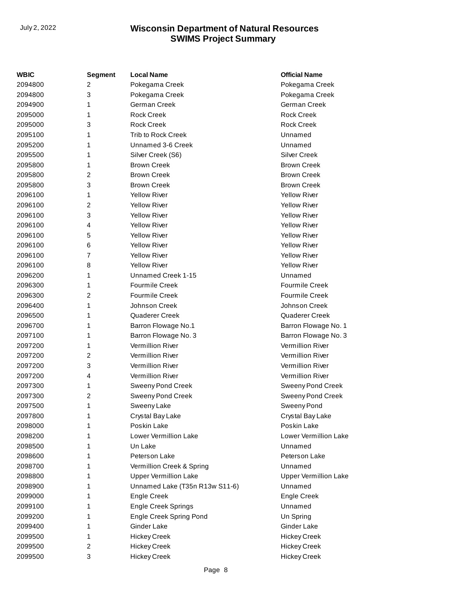| WBIC    | Segment        | <b>Local Name</b>              | <b>Official Name</b>         |
|---------|----------------|--------------------------------|------------------------------|
| 2094800 | 2              | Pokegama Creek                 | Pokegama Creek               |
| 2094800 | 3              | Pokegama Creek                 | Pokegama Creek               |
| 2094900 | 1              | German Creek                   | German Creek                 |
| 2095000 | 1              | <b>Rock Creek</b>              | <b>Rock Creek</b>            |
| 2095000 | 3              | <b>Rock Creek</b>              | <b>Rock Creek</b>            |
| 2095100 | 1              | <b>Trib to Rock Creek</b>      | Unnamed                      |
| 2095200 | 1              | Unnamed 3-6 Creek              | Unnamed                      |
| 2095500 | 1              | Silver Creek (S6)              | <b>Silver Creek</b>          |
| 2095800 | 1              | <b>Brown Creek</b>             | <b>Brown Creek</b>           |
| 2095800 | 2              | <b>Brown Creek</b>             | <b>Brown Creek</b>           |
| 2095800 | 3              | <b>Brown Creek</b>             | <b>Brown Creek</b>           |
| 2096100 | 1              | <b>Yellow River</b>            | <b>Yellow River</b>          |
| 2096100 | 2              | <b>Yellow River</b>            | <b>Yellow River</b>          |
| 2096100 | 3              | <b>Yellow River</b>            | <b>Yellow River</b>          |
| 2096100 | 4              | <b>Yellow River</b>            | <b>Yellow River</b>          |
| 2096100 | 5              | <b>Yellow River</b>            | <b>Yellow River</b>          |
| 2096100 | 6              | <b>Yellow River</b>            | <b>Yellow River</b>          |
| 2096100 | 7              | <b>Yellow River</b>            | <b>Yellow River</b>          |
| 2096100 | 8              | <b>Yellow River</b>            | <b>Yellow River</b>          |
| 2096200 | 1              | Unnamed Creek 1-15             | Unnamed                      |
| 2096300 | 1              | <b>Fourmile Creek</b>          | <b>Fourmile Creek</b>        |
| 2096300 | 2              | <b>Fourmile Creek</b>          | <b>Fourmile Creek</b>        |
| 2096400 | 1              | Johnson Creek                  | Johnson Creek                |
| 2096500 | 1              | Quaderer Creek                 | Quaderer Creek               |
| 2096700 | 1              | <b>Barron Flowage No.1</b>     | Barron Flowage No. 1         |
| 2097100 | 1              | Barron Flowage No. 3           | Barron Flowage No. 3         |
| 2097200 | 1              | <b>Vermillion River</b>        | <b>Vermillion River</b>      |
| 2097200 | $\overline{c}$ | Vermillion River               | Vermillion River             |
| 2097200 | 3              | Vermillion River               | Vermillion River             |
| 2097200 | 4              | <b>Vermillion River</b>        | Vermillion River             |
| 2097300 | 1              | <b>Sweeny Pond Creek</b>       | <b>Sweeny Pond Creek</b>     |
| 2097300 | $\overline{c}$ | <b>Sweeny Pond Creek</b>       | <b>Sweeny Pond Creek</b>     |
| 2097500 | 1              | Sweeny Lake                    | Sweeny Pond                  |
| 2097800 | 1              | Crystal Bay Lake               | Crystal Bay Lake             |
| 2098000 | 1              | Poskin Lake                    | Poskin Lake                  |
| 2098200 | 1              | Lower Vermillion Lake          | Lower Vermillion Lake        |
| 2098500 | 1              | Un Lake                        | Unnamed                      |
| 2098600 | 1              | Peterson Lake                  | Peterson Lake                |
| 2098700 | 1              | Vermillion Creek & Spring      | Unnamed                      |
| 2098800 | 1              | <b>Upper Vermillion Lake</b>   | <b>Upper Vermillion Lake</b> |
| 2098900 | 1              | Unnamed Lake (T35n R13w S11-6) | Unnamed                      |
| 2099000 | 1              | Engle Creek                    | Engle Creek                  |
| 2099100 | 1              | Engle Creek Springs            | Unnamed                      |
| 2099200 | 1              | Engle Creek Spring Pond        | Un Spring                    |
| 2099400 | 1              | Ginder Lake                    | Ginder Lake                  |
| 2099500 | 1              | <b>Hickey Creek</b>            | <b>Hickey Creek</b>          |
| 2099500 | 2              | <b>Hickey Creek</b>            | <b>Hickey Creek</b>          |
| 2099500 | 3              | <b>Hickey Creek</b>            | <b>Hickey Creek</b>          |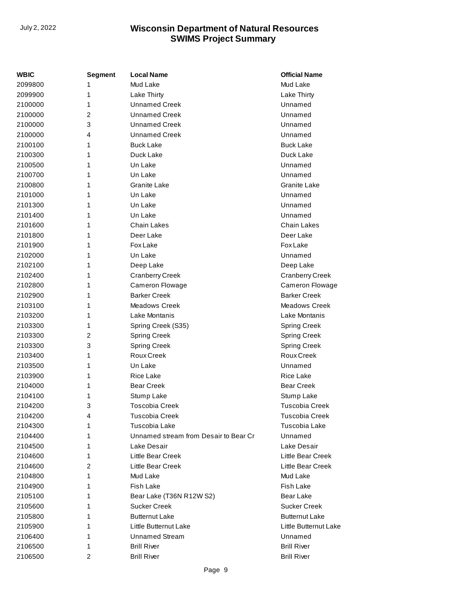| <b>WBIC</b> | Segment        | <b>Local Name</b>                     | <b>Official Name</b>  |
|-------------|----------------|---------------------------------------|-----------------------|
| 2099800     | 1              | Mud Lake                              | Mud Lake              |
| 2099900     | 1              | Lake Thirty                           | Lake Thirty           |
| 2100000     | 1              | <b>Unnamed Creek</b>                  | Unnamed               |
| 2100000     | $\overline{2}$ | <b>Unnamed Creek</b>                  | Unnamed               |
| 2100000     | 3              | <b>Unnamed Creek</b>                  | Unnamed               |
| 2100000     | 4              | <b>Unnamed Creek</b>                  | Unnamed               |
| 2100100     | 1              | <b>Buck Lake</b>                      | <b>Buck Lake</b>      |
| 2100300     | 1              | Duck Lake                             | Duck Lake             |
| 2100500     | 1              | Un Lake                               | Unnamed               |
| 2100700     | 1              | Un Lake                               | Unnamed               |
| 2100800     | 1              | Granite Lake                          | <b>Granite Lake</b>   |
| 2101000     | 1              | Un Lake                               | Unnamed               |
| 2101300     | 1              | Un Lake                               | Unnamed               |
| 2101400     | 1              | Un Lake                               | Unnamed               |
| 2101600     | 1              | <b>Chain Lakes</b>                    | <b>Chain Lakes</b>    |
| 2101800     | 1              | Deer Lake                             | Deer Lake             |
| 2101900     | 1              | <b>Fox Lake</b>                       | <b>Fox Lake</b>       |
| 2102000     | 1              | Un Lake                               | Unnamed               |
| 2102100     | 1              | Deep Lake                             | Deep Lake             |
| 2102400     | 1              | <b>Cranberry Creek</b>                | Cranberry Creek       |
| 2102800     | 1              | Cameron Flowage                       | Cameron Flowage       |
| 2102900     | 1              | <b>Barker Creek</b>                   | <b>Barker Creek</b>   |
| 2103100     | 1              | Meadows Creek                         | <b>Meadows Creek</b>  |
| 2103200     | 1              | Lake Montanis                         | Lake Montanis         |
| 2103300     | 1              | Spring Creek (S35)                    | Spring Creek          |
| 2103300     | 2              | <b>Spring Creek</b>                   | Spring Creek          |
| 2103300     | 3              | <b>Spring Creek</b>                   | <b>Spring Creek</b>   |
| 2103400     | 1              | Roux Creek                            | Roux Creek            |
| 2103500     | 1              | Un Lake                               | Unnamed               |
| 2103900     | 1              | <b>Rice Lake</b>                      | <b>Rice Lake</b>      |
| 2104000     | 1              | <b>Bear Creek</b>                     | <b>Bear Creek</b>     |
| 2104100     | 1              | Stump Lake                            | Stump Lake            |
| 2104200     | 3              | <b>Toscobia Creek</b>                 | <b>Tuscobia Creek</b> |
| 2104200     | 4              | <b>Tuscobia Creek</b>                 | Tuscobia Creek        |
| 2104300     | 1              | Tuscobia Lake                         | Tuscobia Lake         |
| 2104400     | 1              | Unnamed stream from Desair to Bear Cr | Unnamed               |
| 2104500     | 1              | Lake Desair                           | Lake Desair           |
| 2104600     | 1              | Little Bear Creek                     | Little Bear Creek     |
| 2104600     | 2              | Little Bear Creek                     | Little Bear Creek     |
| 2104800     | 1              | Mud Lake                              | Mud Lake              |
| 2104900     | 1              | Fish Lake                             | Fish Lake             |
| 2105100     | 1              | Bear Lake (T36N R12W S2)              | Bear Lake             |
| 2105600     | 1              | <b>Sucker Creek</b>                   | <b>Sucker Creek</b>   |
| 2105800     | 1              | <b>Butternut Lake</b>                 | <b>Butternut Lake</b> |
| 2105900     | 1              | Little Butternut Lake                 | Little Butternut Lake |
| 2106400     | 1              | <b>Unnamed Stream</b>                 | Unnamed               |
| 2106500     | 1              | <b>Brill River</b>                    | <b>Brill River</b>    |
| 2106500     | 2              | <b>Brill River</b>                    | <b>Brill River</b>    |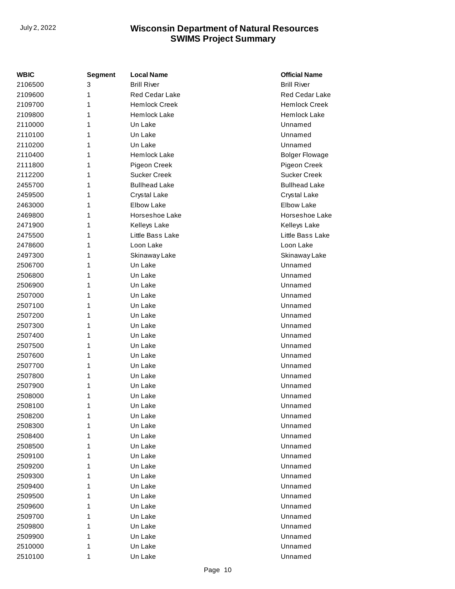| WBIC    | <b>Segment</b> | <b>Local Name</b>    | <b>Official Name</b>  |
|---------|----------------|----------------------|-----------------------|
| 2106500 | 3              | <b>Brill River</b>   | <b>Brill River</b>    |
| 2109600 | 1              | Red Cedar Lake       | Red Cedar Lake        |
| 2109700 | 1              | <b>Hemlock Creek</b> | <b>Hemlock Creek</b>  |
| 2109800 | 1              | Hemlock Lake         | Hemlock Lake          |
| 2110000 | 1              | Un Lake              | Unnamed               |
| 2110100 | 1              | Un Lake              | Unnamed               |
| 2110200 | 1              | Un Lake              | Unnamed               |
| 2110400 | 1              | Hemlock Lake         | <b>Bolger Flowage</b> |
| 2111800 | 1              | Pigeon Creek         | Pigeon Creek          |
| 2112200 | 1              | <b>Sucker Creek</b>  | <b>Sucker Creek</b>   |
| 2455700 | 1              | <b>Bullhead Lake</b> | <b>Bullhead Lake</b>  |
| 2459500 | 1              | Crystal Lake         | Crystal Lake          |
| 2463000 | 1              | <b>Elbow Lake</b>    | <b>Elbow Lake</b>     |
| 2469800 | 1              | Horseshoe Lake       | Horseshoe Lake        |
| 2471900 | 1              | Kelleys Lake         | Kelleys Lake          |
| 2475500 | 1              | Little Bass Lake     | Little Bass Lake      |
| 2478600 | 1              | Loon Lake            | Loon Lake             |
| 2497300 | 1              | Skinaway Lake        | Skinaway Lake         |
| 2506700 | 1              | Un Lake              | Unnamed               |
| 2506800 | 1              | Un Lake              | Unnamed               |
| 2506900 | 1              | Un Lake              | Unnamed               |
| 2507000 | 1              | Un Lake              | Unnamed               |
| 2507100 | 1              | Un Lake              | Unnamed               |
| 2507200 | 1              | Un Lake              | Unnamed               |
| 2507300 | 1              | Un Lake              | Unnamed               |
| 2507400 | 1              | Un Lake              | Unnamed               |
| 2507500 | 1              | Un Lake              | Unnamed               |
| 2507600 | 1              | Un Lake              | Unnamed               |
| 2507700 | 1              | Un Lake              | Unnamed               |
| 2507800 | 1              | Un Lake              | Unnamed               |
| 2507900 | 1              | Un Lake              | Unnamed               |
| 2508000 | 1              | Un Lake              | Unnamed               |
| 2508100 | 1              | Un Lake              | Unnamed               |
| 2508200 | 1              | Un Lake              | Unnamed               |
| 2508300 | 1              | Un Lake              | Unnamed               |
| 2508400 | 1              | Un Lake              | Unnamed               |
| 2508500 | 1              | Un Lake              | Unnamed               |
| 2509100 | 1              | Un Lake              | Unnamed               |
| 2509200 | 1              | Un Lake              | Unnamed               |
| 2509300 | 1              | Un Lake              | Unnamed               |
| 2509400 | 1              | Un Lake              | Unnamed               |
| 2509500 | 1              | Un Lake              | Unnamed               |
| 2509600 | 1              | Un Lake              | Unnamed               |
| 2509700 | 1              | Un Lake              | Unnamed               |
| 2509800 | 1              | Un Lake              | Unnamed               |
| 2509900 | 1              | Un Lake              | Unnamed               |
| 2510000 | 1              | Un Lake              | Unnamed               |
| 2510100 | 1              | Un Lake              | Unnamed               |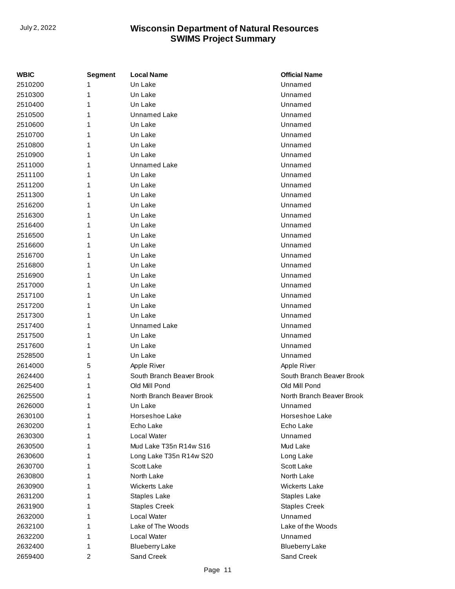| <b>WBIC</b> | Segment | <b>Local Name</b>         | <b>Official Name</b>      |
|-------------|---------|---------------------------|---------------------------|
| 2510200     | 1       | Un Lake                   | Unnamed                   |
| 2510300     | 1       | Un Lake                   | Unnamed                   |
| 2510400     | 1       | Un Lake                   | Unnamed                   |
| 2510500     | 1       | Unnamed Lake              | Unnamed                   |
| 2510600     | 1       | Un Lake                   | Unnamed                   |
| 2510700     | 1       | Un Lake                   | Unnamed                   |
| 2510800     | 1       | Un Lake                   | Unnamed                   |
| 2510900     | 1       | Un Lake                   | Unnamed                   |
| 2511000     | 1       | <b>Unnamed Lake</b>       | Unnamed                   |
| 2511100     | 1       | Un Lake                   | Unnamed                   |
| 2511200     | 1       | Un Lake                   | Unnamed                   |
| 2511300     | 1       | Un Lake                   | Unnamed                   |
| 2516200     | 1       | Un Lake                   | Unnamed                   |
| 2516300     | 1       | Un Lake                   | Unnamed                   |
| 2516400     | 1       | Un Lake                   | Unnamed                   |
| 2516500     | 1       | Un Lake                   | Unnamed                   |
| 2516600     | 1       | Un Lake                   | Unnamed                   |
| 2516700     | 1       | Un Lake                   | Unnamed                   |
| 2516800     | 1       | Un Lake                   | Unnamed                   |
| 2516900     | 1       | Un Lake                   | Unnamed                   |
| 2517000     | 1       | Un Lake                   | Unnamed                   |
| 2517100     | 1       | Un Lake                   | Unnamed                   |
| 2517200     | 1       | Un Lake                   | Unnamed                   |
| 2517300     | 1       | Un Lake                   | Unnamed                   |
| 2517400     | 1       | Unnamed Lake              | Unnamed                   |
| 2517500     | 1       | Un Lake                   | Unnamed                   |
| 2517600     | 1       | Un Lake                   | Unnamed                   |
| 2528500     | 1       | Un Lake                   | Unnamed                   |
| 2614000     | 5       | Apple River               | Apple River               |
| 2624400     | 1       | South Branch Beaver Brook | South Branch Beaver Brook |
| 2625400     | 1       | Old Mill Pond             | Old Mill Pond             |
| 2625500     | 1       | North Branch Beaver Brook | North Branch Beaver Brook |
| 2626000     | 1       | Un Lake                   | Unnamed                   |
| 2630100     | 1       | Horseshoe Lake            | Horseshoe Lake            |
| 2630200     | 1       | Echo Lake                 | Echo Lake                 |
| 2630300     | 1       | Local Water               | Unnamed                   |
| 2630500     | 1       | Mud Lake T35n R14w S16    | Mud Lake                  |
| 2630600     | 1       | Long Lake T35n R14w S20   | Long Lake                 |
| 2630700     | 1       | Scott Lake                | Scott Lake                |
| 2630800     | 1       | North Lake                | North Lake                |
| 2630900     | 1       | <b>Wickerts Lake</b>      | <b>Wickerts Lake</b>      |
| 2631200     | 1       | Staples Lake              | Staples Lake              |
| 2631900     | 1       | <b>Staples Creek</b>      | <b>Staples Creek</b>      |
| 2632000     | 1       | Local Water               | Unnamed                   |
| 2632100     | 1       | Lake of The Woods         | Lake of the Woods         |
| 2632200     | 1       | Local Water               | Unnamed                   |
| 2632400     | 1       | <b>Blueberry Lake</b>     | <b>Blueberry Lake</b>     |
| 2659400     | 2       | Sand Creek                | Sand Creek                |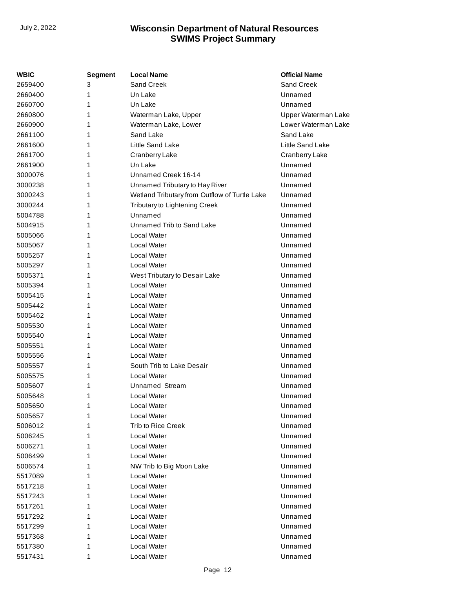| <b>WBIC</b> | Segment | <b>Local Name</b>                             | <b>Official Name</b> |
|-------------|---------|-----------------------------------------------|----------------------|
| 2659400     | 3       | Sand Creek                                    | Sand Creek           |
| 2660400     | 1       | Un Lake                                       | Unnamed              |
| 2660700     | 1       | Un Lake                                       | Unnamed              |
| 2660800     | 1       | Waterman Lake, Upper                          | Upper Waterman Lake  |
| 2660900     | 1       | Waterman Lake, Lower                          | Lower Waterman Lake  |
| 2661100     | 1       | Sand Lake                                     | Sand Lake            |
| 2661600     | 1       | Little Sand Lake                              | Little Sand Lake     |
| 2661700     | 1       | Cranberry Lake                                | Cranberry Lake       |
| 2661900     | 1       | Un Lake                                       | Unnamed              |
| 3000076     | 1       | Unnamed Creek 16-14                           | Unnamed              |
| 3000238     | 1       | Unnamed Tributary to Hay River                | Unnamed              |
| 3000243     | 1       | Wetland Tributary from Outflow of Turtle Lake | Unnamed              |
| 3000244     | 1       | Tributary to Lightening Creek                 | Unnamed              |
| 5004788     | 1       | Unnamed                                       | Unnamed              |
| 5004915     | 1       | Unnamed Trib to Sand Lake                     | Unnamed              |
| 5005066     | 1       | Local Water                                   | Unnamed              |
| 5005067     | 1       | <b>Local Water</b>                            | Unnamed              |
| 5005257     | 1       | Local Water                                   | Unnamed              |
| 5005297     | 1       | Local Water                                   | Unnamed              |
| 5005371     | 1       | West Tributary to Desair Lake                 | Unnamed              |
| 5005394     | 1       | Local Water                                   | Unnamed              |
| 5005415     | 1       | Local Water                                   | Unnamed              |
| 5005442     | 1       | Local Water                                   | Unnamed              |
| 5005462     | 1       | Local Water                                   | Unnamed              |
| 5005530     | 1       | Local Water                                   | Unnamed              |
| 5005540     | 1       | Local Water                                   | Unnamed              |
| 5005551     | 1       | Local Water                                   | Unnamed              |
| 5005556     | 1       | Local Water                                   | Unnamed              |
| 5005557     | 1       | South Trib to Lake Desair                     | Unnamed              |
| 5005575     | 1       | <b>Local Water</b>                            | Unnamed              |
| 5005607     | 1       | Unnamed Stream                                | Unnamed              |
| 5005648     | 1       | Local Water                                   | Unnamed              |
| 5005650     | 1       | Local Water                                   | Unnamed              |
| 5005657     | 1       | Local Water                                   | Unnamed              |
| 5006012     | 1       | <b>Trib to Rice Creek</b>                     | Unnamed              |
| 5006245     | 1       | Local Water                                   | Unnamed              |
| 5006271     | 1       | Local Water                                   | Unnamed              |
| 5006499     | 1       | <b>Local Water</b>                            | Unnamed              |
| 5006574     | 1       | NW Trib to Big Moon Lake                      | Unnamed              |
| 5517089     | 1       | Local Water                                   | Unnamed              |
| 5517218     | 1       | Local Water                                   | Unnamed              |
| 5517243     | 1       | Local Water                                   | Unnamed              |
| 5517261     | 1       | Local Water                                   | Unnamed              |
| 5517292     | 1       | Local Water                                   | Unnamed              |
| 5517299     | 1       | Local Water                                   | Unnamed              |
| 5517368     | 1       | Local Water                                   | Unnamed              |
| 5517380     | 1       | Local Water                                   | Unnamed              |
| 5517431     | 1       | Local Water                                   | Unnamed              |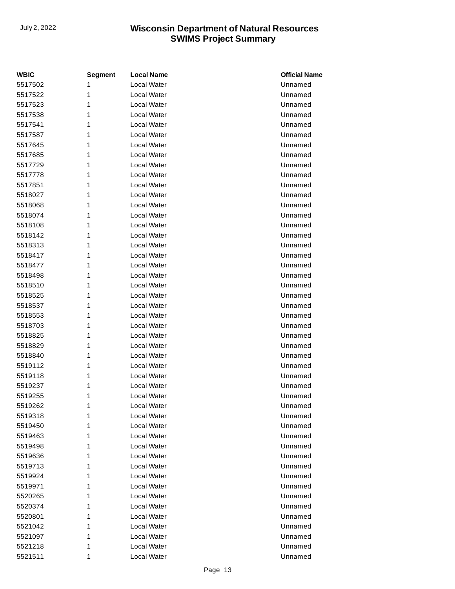| <b>WBIC</b> | <b>Segment</b> | <b>Local Name</b> | <b>Official Name</b> |
|-------------|----------------|-------------------|----------------------|
| 5517502     | 1              | Local Water       | Unnamed              |
| 5517522     | 1              | Local Water       | Unnamed              |
| 5517523     | 1              | Local Water       | Unnamed              |
| 5517538     | 1              | Local Water       | Unnamed              |
| 5517541     | 1              | Local Water       | Unnamed              |
| 5517587     | 1              | Local Water       | Unnamed              |
| 5517645     | 1              | Local Water       | Unnamed              |
| 5517685     | 1              | Local Water       | Unnamed              |
| 5517729     | 1              | Local Water       | Unnamed              |
| 5517778     | 1              | Local Water       | Unnamed              |
| 5517851     | 1              | Local Water       | Unnamed              |
| 5518027     | 1              | Local Water       | Unnamed              |
| 5518068     | 1              | Local Water       | Unnamed              |
| 5518074     | 1              | Local Water       | Unnamed              |
| 5518108     | 1              | Local Water       | Unnamed              |
| 5518142     | 1              | Local Water       | Unnamed              |
| 5518313     | 1              | Local Water       | Unnamed              |
| 5518417     | 1              | Local Water       | Unnamed              |
| 5518477     | 1              | Local Water       | Unnamed              |
| 5518498     | 1              | Local Water       | Unnamed              |
| 5518510     | 1              | Local Water       | Unnamed              |
| 5518525     | 1              | Local Water       | Unnamed              |
| 5518537     | 1              | Local Water       | Unnamed              |
| 5518553     | 1              | Local Water       | Unnamed              |
| 5518703     | 1              | Local Water       | Unnamed              |
| 5518825     | 1              | Local Water       | Unnamed              |
| 5518829     | 1              | Local Water       | Unnamed              |
| 5518840     | 1              | Local Water       | Unnamed              |
| 5519112     | 1              | Local Water       | Unnamed              |
| 5519118     | 1              | Local Water       | Unnamed              |
| 5519237     | 1              | Local Water       | Unnamed              |
| 5519255     | 1              | Local Water       | Unnamed              |
| 5519262     | 1              | Local Water       | Unnamed              |
| 5519318     | 1              | Local Water       | Unnamed              |
| 5519450     | 1              | Local Water       | Unnamed              |
| 5519463     | 1              | Local Water       | Unnamed              |
| 5519498     | 1              | Local Water       | Unnamed              |
| 5519636     | 1              | Local Water       | Unnamed              |
| 5519713     | 1              | Local Water       | Unnamed              |
| 5519924     | 1              | Local Water       | Unnamed              |
| 5519971     | 1              | Local Water       | Unnamed              |
| 5520265     | 1              | Local Water       | Unnamed              |
| 5520374     | 1              | Local Water       | Unnamed              |
| 5520801     | 1              | Local Water       | Unnamed              |
| 5521042     | 1              | Local Water       | Unnamed              |
| 5521097     | 1              | Local Water       | Unnamed              |
| 5521218     | 1              | Local Water       | Unnamed              |
| 5521511     | 1              | Local Water       | Unnamed              |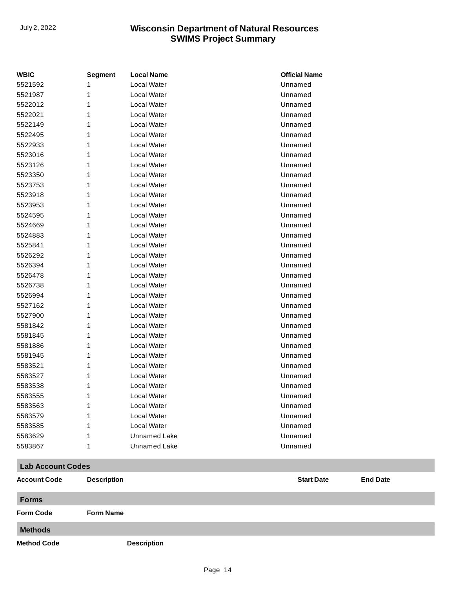| <b>WBIC</b>              | <b>Segment</b>     | <b>Local Name</b>   | <b>Official Name</b> |                 |
|--------------------------|--------------------|---------------------|----------------------|-----------------|
| 5521592                  |                    | Local Water         | Unnamed              |                 |
| 5521987                  | 1                  | Local Water         | Unnamed              |                 |
| 5522012                  | 1                  | Local Water         | Unnamed              |                 |
| 5522021                  |                    | Local Water         | Unnamed              |                 |
| 5522149                  |                    | Local Water         | Unnamed              |                 |
| 5522495                  | 1                  | Local Water         | Unnamed              |                 |
| 5522933                  |                    | Local Water         | Unnamed              |                 |
| 5523016                  |                    | Local Water         | Unnamed              |                 |
| 5523126                  | 1                  | Local Water         | Unnamed              |                 |
| 5523350                  | 1                  | <b>Local Water</b>  | Unnamed              |                 |
| 5523753                  |                    | Local Water         | Unnamed              |                 |
| 5523918                  |                    | Local Water         | Unnamed              |                 |
| 5523953                  |                    | Local Water         | Unnamed              |                 |
| 5524595                  | 1                  | Local Water         | Unnamed              |                 |
| 5524669                  |                    | Local Water         | Unnamed              |                 |
| 5524883                  |                    | Local Water         | Unnamed              |                 |
| 5525841                  | 1                  | Local Water         | Unnamed              |                 |
| 5526292                  | 1                  | Local Water         | Unnamed              |                 |
| 5526394                  |                    | Local Water         | Unnamed              |                 |
| 5526478                  |                    | Local Water         | Unnamed              |                 |
| 5526738                  | 1                  | Local Water         | Unnamed              |                 |
| 5526994                  | 1                  | Local Water         | Unnamed              |                 |
| 5527162                  |                    | Local Water         | Unnamed              |                 |
| 5527900                  |                    | Local Water         | Unnamed              |                 |
| 5581842                  | 1                  | Local Water         | Unnamed              |                 |
| 5581845                  | 1                  | Local Water         | Unnamed              |                 |
| 5581886                  | 1                  | Local Water         | Unnamed              |                 |
| 5581945                  |                    | Local Water         | Unnamed              |                 |
| 5583521                  | 1                  | Local Water         | Unnamed              |                 |
| 5583527                  | 1                  | Local Water         | Unnamed              |                 |
| 5583538                  |                    | Local Water         | Unnamed              |                 |
| 5583555                  | 1                  | Local Water         | Unnamed              |                 |
| 5583563                  | 1                  | Local Water         | Unnamed              |                 |
| 5583579                  |                    | Local Water         | Unnamed              |                 |
| 5583585                  |                    | <b>Local Water</b>  | Unnamed              |                 |
| 5583629                  |                    | <b>Unnamed Lake</b> | Unnamed              |                 |
| 5583867                  | 1                  | <b>Unnamed Lake</b> | Unnamed              |                 |
| <b>Lab Account Codes</b> |                    |                     |                      |                 |
| <b>Account Code</b>      | <b>Description</b> |                     | <b>Start Date</b>    | <b>End Date</b> |
| <b>Forms</b>             |                    |                     |                      |                 |
| <b>Form Code</b>         | <b>Form Name</b>   |                     |                      |                 |
| <b>Methods</b>           |                    |                     |                      |                 |
| <b>Method Code</b>       |                    | <b>Description</b>  |                      |                 |